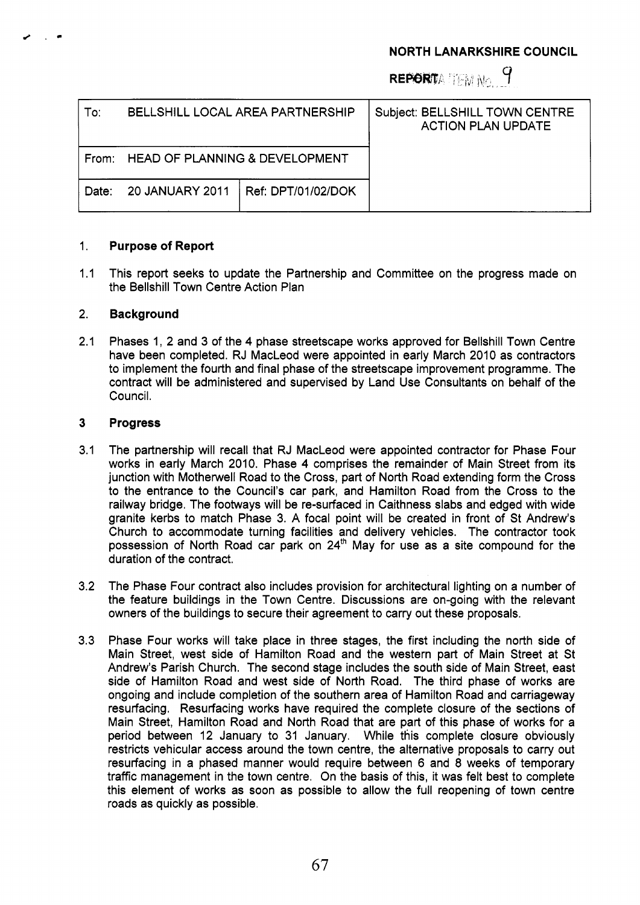## **NORTH LANARKSHIRE COUNCIL**

REPORTATEM No. 9

| To:   | <b>BELLSHILL LOCAL AREA PARTNERSHIP</b> |                    | Subject: BELLSHILL TOWN CENTRE<br><b>ACTION PLAN UPDATE</b> |
|-------|-----------------------------------------|--------------------|-------------------------------------------------------------|
| From: | HEAD OF PLANNING & DEVELOPMENT          |                    |                                                             |
| Date: | <b>20 JANUARY 2011</b>                  | Ref: DPT/01/02/DOK |                                                             |

## 1. **Purpose of Report**

 $1.1$ This report seeks to update the Partnership and Committee on the progress made on the Bellshill Town Centre Action Plan

## 2. **Background**

2.1 Phases 1, 2 and 3 of the 4 phase streetscape works approved for Bellshill Town Centre have been completed. RJ MacLeod were appointed in early March 2010 as contractors to implement the fourth and final phase of the streetscape improvement programme. The contract will be administered and supervised by Land Use Consultants on behalf of the Council.

## **3 Progress**

- 3.1 The partnership will recall that RJ MacLeod were appointed contractor for Phase Four works in early March 2010. Phase 4 comprises the remainder of Main Street from its junction with Motherwell Road to the Cross, part of North Road extending form the Cross to the entrance to the Council's car park, and Hamilton Road from the Cross to the railway bridge. The footways will be re-surfaced in Caithness slabs and edged with wide granite kerbs to match Phase 3. A focal point will be created in front of St Andrew's Church to accommodate turning facilities and delivery vehicles. The contractor took possession of North Road car park on  $24<sup>th</sup>$  May for use as a site compound for the duration of the contract.
- 3.2 The Phase Four contract also includes provision for architectural lighting on a number of the feature buildings in the Town Centre. Discussions are on-going with the relevant owners of the buildings to secure their agreement to carry out these proposals.
- 3.3 Phase Four works will take place in three stages, the first including the north side of Main Street, west side of Hamilton Road and the western part of Main Street at St Andrew's Parish Church. The second stage includes the south side of Main Street, east side of Hamilton Road and west side of North Road. The third phase of works are ongoing and include completion of the southern area of Hamilton Road and carriageway resurfacing. Resurfacing works have required the complete closure of the sections of Main Street, Hamilton Road and North Road that are part of this phase of works for a period between 12 January to 31 January. While this complete closure obviously restricts vehicular access around the town centre, the alternative proposals to carry out resurfacing in a phased manner would require between 6 and **8** weeks of temporary traffic management in the town centre. On the basis of this, it was felt best to complete this element of works as soon as possible to allow the full reopening of town centre roads as quickly as possible.